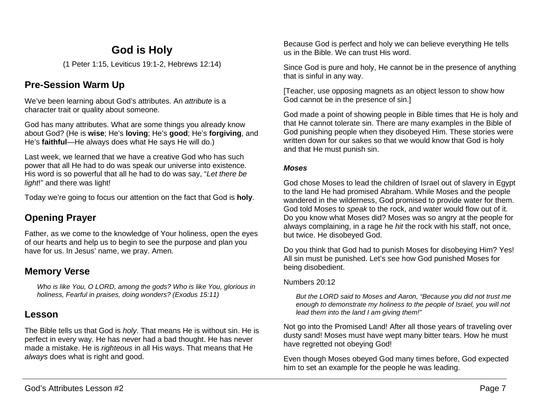# **God is Holy**

(1 Peter 1:15, Leviticus 19:1-2, Hebrews 12:14)

## **Pre-Session Warm Up**

We've been learning about God's attributes. An *attribute* is a character trait or quality about someone.

God has many attributes. What are some things you already know about God? (He is **wise**; He's **loving**; He's **good**; He's **forgiving**, and He's **faithful**—He always does what He says He will do.)

Last week, we learned that we have a creative God who has such power that all He had to do was speak our universe into existence. His word is so powerful that all he had to do was say, "*Let there be light*!" and there was light!

Today we're going to focus our attention on the fact that God is **holy**.

# **Opening Prayer**

Father, as we come to the knowledge of Your holiness, open the eyes of our hearts and help us to begin to see the purpose and plan you have for us. In Jesus' name, we pray. Amen.

## **Memory Verse**

*Who is like You, O LORD, among the gods? Who is like You, glorious in holiness, Fearful in praises, doing wonders? (Exodus 15:11)*

## **Lesson**

The Bible tells us that God is *holy*. That means He is without sin. He is perfect in every way. He has never had a bad thought. He has never made a mistake. He is *righteous* in all His ways. That means that He *always* does what is right and good.

Because God is perfect and holy we can believe everything He tells us in the Bible. We can trust His word.

Since God is pure and holy, He cannot be in the presence of anything that is sinful in any way.

[Teacher, use opposing magnets as an object lesson to show how God cannot be in the presence of sin.]

God made a point of showing people in Bible times that He is holy and that He cannot tolerate sin. There are many examples in the Bible of God punishing people when they disobeyed Him. These stories were written down for our sakes so that we would know that God is holy and that He must punish sin.

## *Moses*

God chose Moses to lead the children of Israel out of slavery in Egypt to the land He had promised Abraham. While Moses and the people wandered in the wilderness, God promised to provide water for them. God told Moses to *speak* to the rock, and water would flow out of it. Do you know what Moses did? Moses was so angry at the people for always complaining, in a rage he *hit* the rock with his staff, not once, but twice. He disobeyed God.

Do you think that God had to punish Moses for disobeying Him? Yes! All sin must be punished. Let's see how God punished Moses for being disobedient.

## Numbers 20:12

*But the LORD said to Moses and Aaron, "Because you did not trust me enough to demonstrate my holiness to the people of Israel, you will not lead them into the land I am giving them!"*

Not go into the Promised Land! After all those years of traveling over dusty sand! Moses must have wept many bitter tears. How he must have regretted not obeying God!

Even though Moses obeyed God many times before, God expected him to set an example for the people he was leading.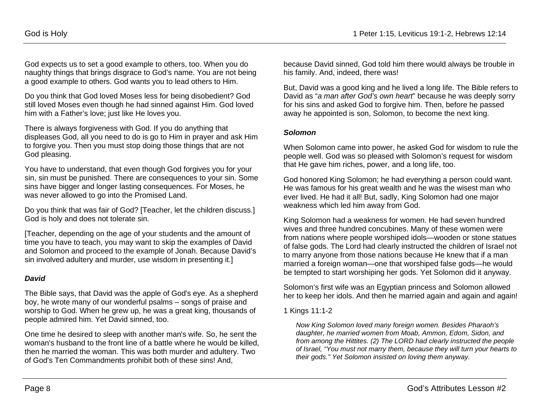God expects us to set a good example to others, too. When you do naughty things that brings disgrace to God's name. You are not being a good example to others. God wants you to lead others to Him.

Do you think that God loved Moses less for being disobedient? God still loved Moses even though he had sinned against Him. God loved him with a Father's love; just like He loves you.

There is always forgiveness with God. If you do anything that displeases God, all you need to do is go to Him in prayer and ask Him to forgive you. Then you must stop doing those things that are not God pleasing.

You have to understand, that even though God forgives you for your sin, sin must be punished. There are consequences to your sin. Some sins have bigger and longer lasting consequences. For Moses, he was never allowed to go into the Promised Land.

Do you think that was fair of God? [Teacher, let the children discuss.] God is holy and does not tolerate sin.

[Teacher, depending on the age of your students and the amount of time you have to teach, you may want to skip the examples of David and Solomon and proceed to the example of Jonah. Because David's sin involved adultery and murder, use wisdom in presenting it.]

## *David*

The Bible says, that David was the apple of God's eye. As a shepherd boy, he wrote many of our wonderful psalms – songs of praise and worship to God. When he grew up, he was a great king, thousands of people admired him. Yet David sinned, too.

One time he desired to sleep with another man's wife. So, he sent the woman's husband to the front line of a battle where he would be killed, then he married the woman. This was both murder and adultery. Two of God's Ten Commandments prohibit both of these sins! And,

because David sinned, God told him there would always be trouble in his family. And, indeed, there was!

But, David was a good king and he lived a long life. The Bible refers to David as "*a man after God's own heart*" because he was deeply sorry for his sins and asked God to forgive him. Then, before he passed away he appointed is son, Solomon, to become the next king.

#### *Solomon*

When Solomon came into power, he asked God for wisdom to rule the people well. God was so pleased with Solomon's request for wisdom that He gave him riches, power, and a long life, too.

God honored King Solomon; he had everything a person could want. He was famous for his great wealth and he was the wisest man who ever lived. He had it all! But, sadly, King Solomon had one major weakness which led him away from God.

King Solomon had a weakness for women. He had seven hundred wives and three hundred concubines. Many of these women were from nations where people worshiped idols—wooden or stone statues of false gods. The Lord had clearly instructed the children of Israel not to marry anyone from those nations because He knew that if a man married a foreign woman—one that worshiped false gods—he would be tempted to start worshiping her gods. Yet Solomon did it anyway.

Solomon's first wife was an Egyptian princess and Solomon allowed her to keep her idols. And then he married again and again and again!

#### 1 Kings 11:1-2

*Now King Solomon loved many foreign women. Besides Pharaoh's daughter, he married women from Moab, Ammon, Edom, Sidon, and from among the Hittites. (2) The LORD had clearly instructed the people of Israel, "You must not marry them, because they will turn your hearts to their gods." Yet Solomon insisted on loving them anyway.*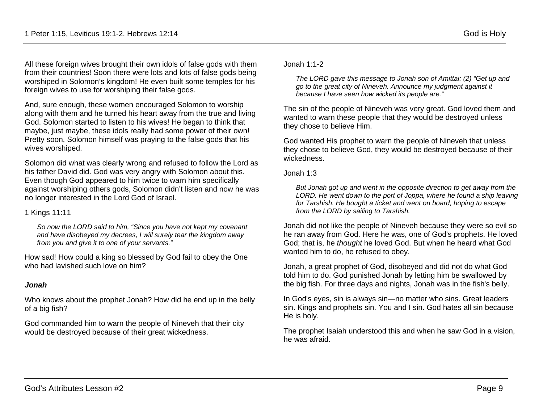All these foreign wives brought their own idols of false gods with them from their countries! Soon there were lots and lots of false gods being worshiped in Solomon's kingdom! He even built some temples for his foreign wives to use for worshiping their false gods.

And, sure enough, these women encouraged Solomon to worship along with them and he turned his heart away from the true and living God. Solomon started to listen to his wives! He began to think that maybe, just maybe, these idols really had some power of their own! Pretty soon, Solomon himself was praying to the false gods that his wives worshiped.

Solomon did what was clearly wrong and refused to follow the Lord as his father David did. God was very angry with Solomon about this. Even though God appeared to him twice to warn him specifically against worshiping others gods, Solomon didn't listen and now he was no longer interested in the Lord God of Israel.

### 1 Kings 11:11

*So now the LORD said to him, "Since you have not kept my covenant and have disobeyed my decrees, I will surely tear the kingdom away from you and give it to one of your servants."*

How sad! How could a king so blessed by God fail to obey the One who had lavished such love on him?

## *Jonah*

Who knows about the prophet Jonah? How did he end up in the belly of a big fish?

God commanded him to warn the people of Nineveh that their city would be destroyed because of their great wickedness.

Jonah 1:1-2

*The LORD gave this message to Jonah son of Amittai: (2) "Get up and go to the great city of Nineveh. Announce my judgment against it because I have seen how wicked its people are."*

The sin of the people of Nineveh was very great. God loved them and wanted to warn these people that they would be destroyed unless they chose to believe Him.

God wanted His prophet to warn the people of Nineveh that unless they chose to believe God, they would be destroyed because of their wickedness.

#### Jonah 1:3

*But Jonah got up and went in the opposite direction to get away from the*  LORD. He went down to the port of Joppa, where he found a ship leaving *for Tarshish. He bought a ticket and went on board, hoping to escape from the LORD by sailing to Tarshish.*

Jonah did not like the people of Nineveh because they were so evil so he ran away from God. Here he was, one of God's prophets. He loved God; that is, he *thought* he loved God. But when he heard what God wanted him to do, he refused to obey.

Jonah, a great prophet of God, disobeyed and did not do what God told him to do. God punished Jonah by letting him be swallowed by the big fish. For three days and nights, Jonah was in the fish's belly.

In God's eyes, sin is always sin—no matter who sins. Great leaders sin. Kings and prophets sin. You and I sin. God hates all sin because He is holy.

The prophet Isaiah understood this and when he saw God in a vision, he was afraid.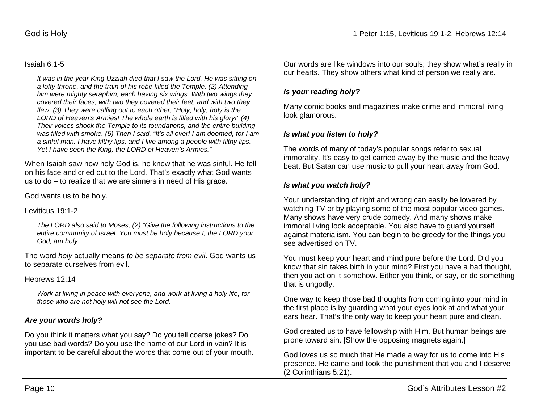#### Isaiah 6:1-5

*It was in the year King Uzziah died that I saw the Lord. He was sitting on a lofty throne, and the train of his robe filled the Temple. (2) Attending him were mighty seraphim, each having six wings. With two wings they covered their faces, with two they covered their feet, and with two they flew. (3) They were calling out to each other, "Holy, holy, holy is the LORD of Heaven's Armies! The whole earth is filled with his glory!" (4) Their voices shook the Temple to its foundations, and the entire building was filled with smoke. (5) Then I said, "It's all over! I am doomed, for I am a sinful man. I have filthy lips, and I live among a people with filthy lips. Yet I have seen the King, the LORD of Heaven's Armies."*

When Isaiah saw how holy God is, he knew that he was sinful. He fell on his face and cried out to the Lord. That's exactly what God wants us to do – to realize that we are sinners in need of His grace.

God wants us to be holy.

Leviticus 19:1-2

*The LORD also said to Moses, (2) "Give the following instructions to the entire community of Israel. You must be holy because I, the LORD your God, am holy.*

The word *holy* actually means *to be separate from evil*. God wants us to separate ourselves from evil.

Hebrews 12:14

*Work at living in peace with everyone, and work at living a holy life, for those who are not holy will not see the Lord.*

#### *Are your words holy?*

Do you think it matters what you say? Do you tell coarse jokes? Do you use bad words? Do you use the name of our Lord in vain? It is important to be careful about the words that come out of your mouth.

Our words are like windows into our souls; they show what's really in our hearts. They show others what kind of person we really are.

#### *Is your reading holy?*

Many comic books and magazines make crime and immoral living look glamorous.

#### *Is what you listen to holy?*

The words of many of today's popular songs refer to sexual immorality. It's easy to get carried away by the music and the heavy beat. But Satan can use music to pull your heart away from God.

#### *Is what you watch holy?*

Your understanding of right and wrong can easily be lowered by watching TV or by playing some of the most popular video games. Many shows have very crude comedy. And many shows make immoral living look acceptable. You also have to guard yourself against materialism. You can begin to be greedy for the things you see advertised on TV.

You must keep your heart and mind pure before the Lord. Did you know that sin takes birth in your mind? First you have a bad thought, then you act on it somehow. Either you think, or say, or do something that is ungodly.

One way to keep those bad thoughts from coming into your mind in the first place is by guarding what your eyes look at and what your ears hear. That's the only way to keep your heart pure and clean.

God created us to have fellowship with Him. But human beings are prone toward sin. [Show the opposing magnets again.]

God loves us so much that He made a way for us to come into His presence. He came and took the punishment that you and I deserve (2 Corinthians 5:21).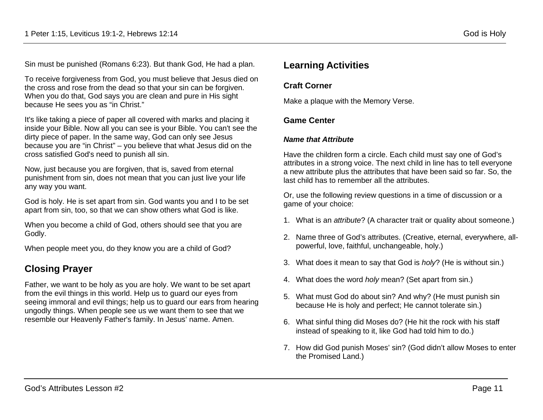Sin must be punished (Romans 6:23). But thank God, He had a plan.

To receive forgiveness from God, you must believe that Jesus died on the cross and rose from the dead so that your sin can be forgiven. When you do that, God says you are clean and pure in His sight because He sees you as "in Christ."

It's like taking a piece of paper all covered with marks and placing it inside your Bible. Now all you can see is your Bible. You can't see the dirty piece of paper. In the same way, God can only see Jesus because you are "in Christ" – you believe that what Jesus did on the cross satisfied God's need to punish all sin.

Now, just because you are forgiven, that is, saved from eternal punishment from sin, does not mean that you can just live your life any way you want.

God is holy. He is set apart from sin. God wants you and I to be set apart from sin, too, so that we can show others what God is like.

When you become a child of God, others should see that you are Godly.

When people meet you, do they know you are a child of God?

## **Closing Prayer**

Father, we want to be holy as you are holy. We want to be set apart from the evil things in this world. Help us to guard our eyes from seeing immoral and evil things; help us to guard our ears from hearing ungodly things. When people see us we want them to see that we resemble our Heavenly Father's family. In Jesus' name. Amen.

## **Learning Activities**

### **Craft Corner**

Make a plaque with the Memory Verse.

### **Game Center**

#### *Name that Attribute*

Have the children form a circle. Each child must say one of God's attributes in a strong voice. The next child in line has to tell everyone a new attribute plus the attributes that have been said so far. So, the last child has to remember all the attributes.

Or, use the following review questions in a time of discussion or a game of your choice:

- 1. What is an *attribute*? (A character trait or quality about someone.)
- 2. Name three of God's attributes. (Creative, eternal, everywhere, allpowerful, love, faithful, unchangeable, holy.)
- 3. What does it mean to say that God is *holy*? (He is without sin.)
- 4. What does the word *holy* mean? (Set apart from sin.)
- 5. What must God do about sin? And why? (He must punish sin because He is holy and perfect; He cannot tolerate sin.)
- 6. What sinful thing did Moses do? (He hit the rock with his staff instead of speaking to it, like God had told him to do.)
- 7. How did God punish Moses' sin? (God didn't allow Moses to enter the Promised Land.)